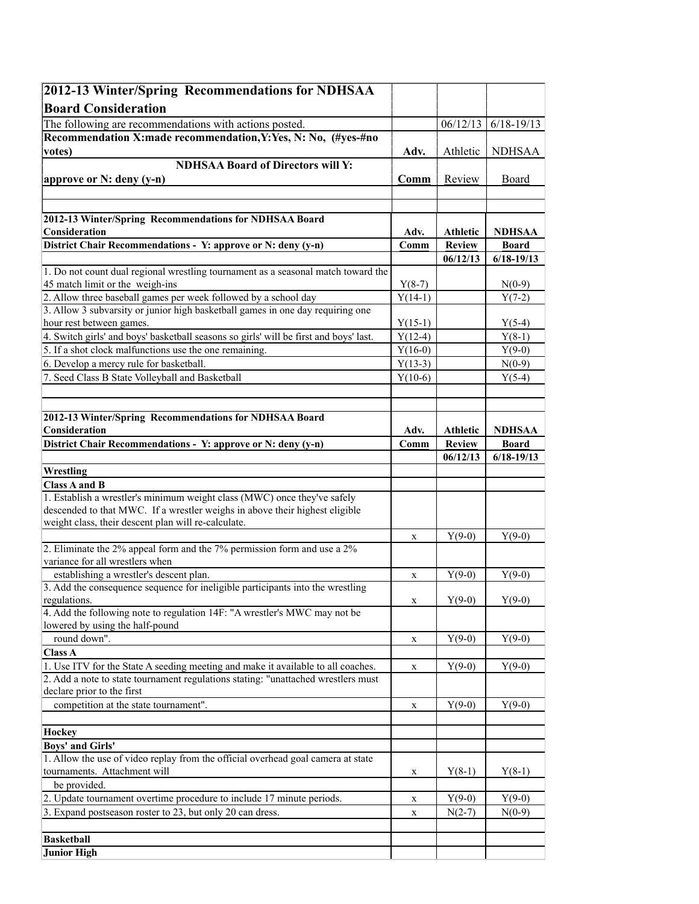| 2012-13 Winter/Spring Recommendations for NDHSAA                                                                     |                  |                 |                |
|----------------------------------------------------------------------------------------------------------------------|------------------|-----------------|----------------|
| <b>Board Consideration</b>                                                                                           |                  |                 |                |
| The following are recommendations with actions posted.                                                               |                  | 06/12/13        | $6/18 - 19/13$ |
| Recommendation X:made recommendation, Y: Yes, N: No, (#yes-#no                                                       |                  |                 |                |
| votes)                                                                                                               | Adv.             | Athletic        | NDHSAA         |
| <b>NDHSAA Board of Directors will Y:</b>                                                                             |                  |                 |                |
| approve or N: deny (y-n)                                                                                             | $Comm$           | Review          | Board          |
|                                                                                                                      |                  |                 |                |
|                                                                                                                      |                  |                 |                |
| 2012-13 Winter/Spring Recommendations for NDHSAA Board                                                               |                  |                 |                |
| Consideration                                                                                                        | Adv.             | <b>Athletic</b> | <b>NDHSAA</b>  |
| District Chair Recommendations - Y: approve or N: deny (y-n)                                                         | $\mathbf{Comm}$  | Review          | <b>Board</b>   |
|                                                                                                                      |                  | 06/12/13        | $6/18 - 19/13$ |
| 1. Do not count dual regional wrestling tournament as a seasonal match toward the<br>45 match limit or the weigh-ins | $Y(8-7)$         |                 | $N(0-9)$       |
| 2. Allow three baseball games per week followed by a school day                                                      | $Y(14-1)$        |                 | $Y(7-2)$       |
| 3. Allow 3 subvarsity or junior high basketball games in one day requiring one                                       |                  |                 |                |
| hour rest between games.                                                                                             | $Y(15-1)$        |                 | $Y(5-4)$       |
| 4. Switch girls' and boys' basketball seasons so girls' will be first and boys' last.                                | $Y(12-4)$        |                 | $Y(8-1)$       |
| 5. If a shot clock malfunctions use the one remaining.                                                               | $Y(16-0)$        |                 | $Y(9-0)$       |
| 6. Develop a mercy rule for basketball.                                                                              | $Y(13-3)$        |                 | $N(0-9)$       |
| 7. Seed Class B State Volleyball and Basketball                                                                      | $Y(10-6)$        |                 | $Y(5-4)$       |
|                                                                                                                      |                  |                 |                |
|                                                                                                                      |                  |                 |                |
| 2012-13 Winter/Spring Recommendations for NDHSAA Board                                                               |                  |                 |                |
| Consideration                                                                                                        | Adv.             | <b>Athletic</b> | <b>NDHSAA</b>  |
| District Chair Recommendations - Y: approve or N: deny (y-n)                                                         | Comm             | <b>Review</b>   | <b>Board</b>   |
|                                                                                                                      |                  | 06/12/13        | $6/18 - 19/13$ |
| Wrestling<br><b>Class A and B</b>                                                                                    |                  |                 |                |
| 1. Establish a wrestler's minimum weight class (MWC) once they've safely                                             |                  |                 |                |
| descended to that MWC. If a wrestler weighs in above their highest eligible                                          |                  |                 |                |
| weight class, their descent plan will re-calculate.                                                                  |                  |                 |                |
|                                                                                                                      | X                | $Y(9-0)$        | $Y(9-0)$       |
| 2. Eliminate the $2\%$ appeal form and the 7% permission form and use a $2\%$                                        |                  |                 |                |
| variance for all wrestlers when                                                                                      |                  |                 |                |
| establishing a wrestler's descent plan.                                                                              | X                | $Y(9-0)$        | $Y(9-0)$       |
| 3. Add the consequence sequence for ineligible participants into the wrestling                                       |                  |                 |                |
| regulations.<br>4. Add the following note to regulation 14F: "A wrestler's MWC may not be                            | $\mathbf X$      | $Y(9-0)$        | $Y(9-0)$       |
| lowered by using the half-pound                                                                                      |                  |                 |                |
| round down".                                                                                                         | X                | $Y(9-0)$        | $Y(9-0)$       |
| Class A                                                                                                              |                  |                 |                |
| 1. Use ITV for the State A seeding meeting and make it available to all coaches.                                     | X                | $Y(9-0)$        | $Y(9-0)$       |
| 2. Add a note to state tournament regulations stating: "unattached wrestlers must                                    |                  |                 |                |
| declare prior to the first                                                                                           |                  |                 |                |
| competition at the state tournament".                                                                                | X                | $Y(9-0)$        | $Y(9-0)$       |
|                                                                                                                      |                  |                 |                |
| <b>Hockey</b>                                                                                                        |                  |                 |                |
| <b>Boys' and Girls'</b>                                                                                              |                  |                 |                |
| 1. Allow the use of video replay from the official overhead goal camera at state                                     |                  |                 |                |
| tournaments. Attachment will                                                                                         | X                | $Y(8-1)$        | $Y(8-1)$       |
| be provided.<br>2. Update tournament overtime procedure to include 17 minute periods.                                |                  | $Y(9-0)$        | $Y(9-0)$       |
| 3. Expand postseason roster to 23, but only 20 can dress.                                                            | X<br>$\mathbf X$ | $N(2-7)$        | $N(0-9)$       |
|                                                                                                                      |                  |                 |                |
| <b>Basketball</b>                                                                                                    |                  |                 |                |
| <b>Junior High</b>                                                                                                   |                  |                 |                |
|                                                                                                                      |                  |                 |                |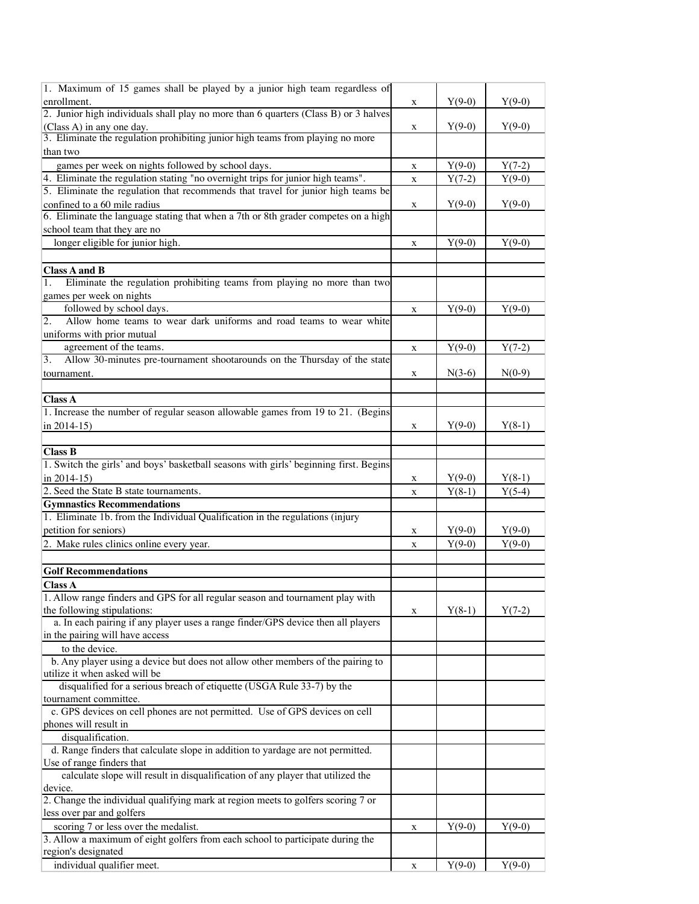| 1. Maximum of 15 games shall be played by a junior high team regardless of            |              |          |          |
|---------------------------------------------------------------------------------------|--------------|----------|----------|
| enrollment.                                                                           | X            | $Y(9-0)$ | $Y(9-0)$ |
| 2. Junior high individuals shall play no more than 6 quarters (Class B) or 3 halves   |              |          |          |
| (Class A) in any one day.                                                             | X            | $Y(9-0)$ | $Y(9-0)$ |
| 3. Eliminate the regulation prohibiting junior high teams from playing no more        |              |          |          |
| than two                                                                              |              |          |          |
| games per week on nights followed by school days.                                     | X            | $Y(9-0)$ | $Y(7-2)$ |
| 4. Eliminate the regulation stating "no overnight trips for junior high teams".       | $\mathbf X$  | $Y(7-2)$ | $Y(9-0)$ |
| 5. Eliminate the regulation that recommends that travel for junior high teams be      |              |          |          |
| confined to a 60 mile radius                                                          |              | $Y(9-0)$ | $Y(9-0)$ |
| 6. Eliminate the language stating that when a 7th or 8th grader competes on a high    | X            |          |          |
|                                                                                       |              |          |          |
| school team that they are no                                                          |              |          |          |
| longer eligible for junior high.                                                      | $\mathbf{x}$ | $Y(9-0)$ | $Y(9-0)$ |
|                                                                                       |              |          |          |
| <b>Class A and B</b>                                                                  |              |          |          |
| Eliminate the regulation prohibiting teams from playing no more than two<br>1.        |              |          |          |
| games per week on nights                                                              |              |          |          |
| followed by school days.                                                              | X            | $Y(9-0)$ | $Y(9-0)$ |
| Allow home teams to wear dark uniforms and road teams to wear white<br>2.             |              |          |          |
| uniforms with prior mutual                                                            |              |          |          |
| agreement of the teams.                                                               | X            | $Y(9-0)$ | $Y(7-2)$ |
| Allow 30-minutes pre-tournament shootarounds on the Thursday of the state<br> 3.      |              |          |          |
| tournament.                                                                           | X            | $N(3-6)$ | $N(0-9)$ |
|                                                                                       |              |          |          |
| Class A                                                                               |              |          |          |
| 1. Increase the number of regular season allowable games from 19 to 21. (Begins       |              |          |          |
| in 2014-15)                                                                           | X            | $Y(9-0)$ | $Y(8-1)$ |
|                                                                                       |              |          |          |
| <b>Class B</b>                                                                        |              |          |          |
| 1. Switch the girls' and boys' basketball seasons with girls' beginning first. Begins |              |          |          |
| in $2014-15$ )                                                                        |              | $Y(9-0)$ | $Y(8-1)$ |
| 2. Seed the State B state tournaments.                                                | X            |          |          |
|                                                                                       | X            | $Y(8-1)$ | $Y(5-4)$ |
| <b>Gymnastics Recommendations</b>                                                     |              |          |          |
| 1. Eliminate 1b. from the Individual Qualification in the regulations (injury         |              |          |          |
| petition for seniors)                                                                 | X            | $Y(9-0)$ | $Y(9-0)$ |
| 2. Make rules clinics online every year.                                              | $\mathbf X$  | $Y(9-0)$ | $Y(9-0)$ |
|                                                                                       |              |          |          |
| <b>Golf Recommendations</b>                                                           |              |          |          |
| <b>Class A</b>                                                                        |              |          |          |
| 1. Allow range finders and GPS for all regular season and tournament play with        |              |          |          |
| the following stipulations:                                                           | X            | $Y(8-1)$ | $Y(7-2)$ |
| a. In each pairing if any player uses a range finder/GPS device then all players      |              |          |          |
| in the pairing will have access                                                       |              |          |          |
| to the device.                                                                        |              |          |          |
| b. Any player using a device but does not allow other members of the pairing to       |              |          |          |
| utilize it when asked will be                                                         |              |          |          |
| disqualified for a serious breach of etiquette (USGA Rule 33-7) by the                |              |          |          |
| tournament committee.                                                                 |              |          |          |
| c. GPS devices on cell phones are not permitted. Use of GPS devices on cell           |              |          |          |
| phones will result in                                                                 |              |          |          |
| disqualification.                                                                     |              |          |          |
| d. Range finders that calculate slope in addition to yardage are not permitted.       |              |          |          |
|                                                                                       |              |          |          |
| Use of range finders that                                                             |              |          |          |
| calculate slope will result in disqualification of any player that utilized the       |              |          |          |
| device.                                                                               |              |          |          |
| 2. Change the individual qualifying mark at region meets to golfers scoring 7 or      |              |          |          |
| less over par and golfers                                                             |              |          |          |
| scoring 7 or less over the medalist.                                                  | $\mathbf X$  | $Y(9-0)$ | $Y(9-0)$ |
| 3. Allow a maximum of eight golfers from each school to participate during the        |              |          |          |
| region's designated                                                                   |              |          |          |
| individual qualifier meet.                                                            | X            | $Y(9-0)$ | $Y(9-0)$ |